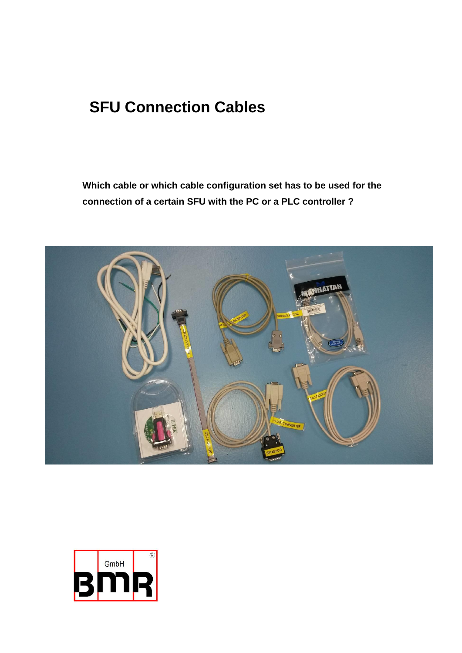# **SFU Connection Cables**

**Which cable or which cable configuration set has to be used for the connection of a certain SFU with the PC or a PLC controller ?**



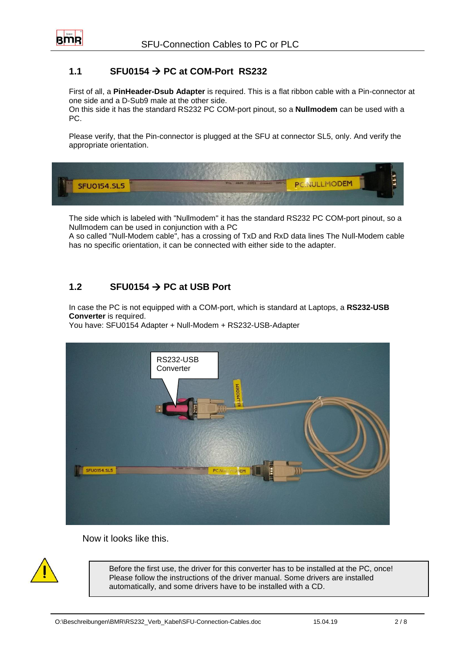

## **1.1 SFU0154** → **PC at COM-Port RS232**

First of all, a **PinHeader-Dsub Adapter** is required. This is a flat ribbon cable with a Pin-connector at one side and a D-Sub9 male at the other side.

On this side it has the standard RS232 PC COM-port pinout, so a **Nullmodem** can be used with a PC.

Please verify, that the Pin-connector is plugged at the SFU at connector SL5, only. And verify the appropriate orientation.



The side which is labeled with "Nullmodem" it has the standard RS232 PC COM-port pinout, so a Nullmodem can be used in conjunction with a PC

A so called "Null-Modem cable", has a crossing of TxD and RxD data lines The Null-Modem cable has no specific orientation, it can be connected with either side to the adapter.

## **1.2 SFU0154** → **PC at USB Port**

In case the PC is not equipped with a COM-port, which is standard at Laptops, a **RS232-USB Converter** is required.

You have: SFU0154 Adapter + Null-Modem + RS232-USB-Adapter



Now it looks like this.



Before the first use, the driver for this converter has to be installed at the PC, once! Please follow the instructions of the driver manual. Some drivers are installed automatically, and some drivers have to be installed with a CD.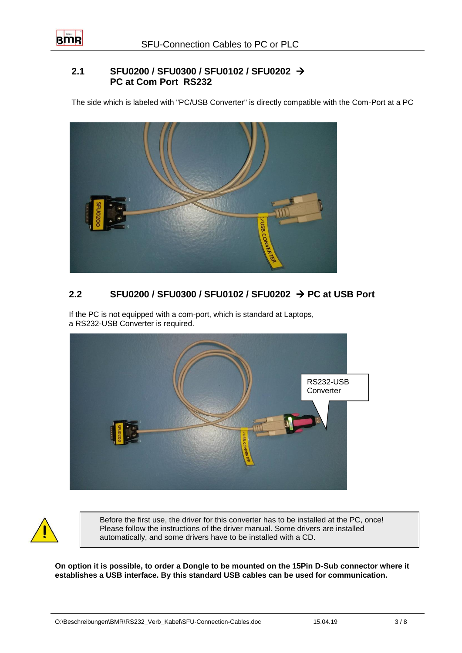

## **2.1 SFU0200 / SFU0300 / SFU0102 / SFU0202** → **PC at Com Port RS232**

The side which is labeled with "PC/USB Converter" is directly compatible with the Com-Port at a PC



## **2.2 SFU0200 / SFU0300 / SFU0102 / SFU0202** → **PC at USB Port**

If the PC is not equipped with a com-port, which is standard at Laptops, a RS232-USB Converter is required.





Before the first use, the driver for this converter has to be installed at the PC, once! Please follow the instructions of the driver manual. Some drivers are installed automatically, and some drivers have to be installed with a CD.

**On option it is possible, to order a Dongle to be mounted on the 15Pin D-Sub connector where it establishes a USB interface. By this standard USB cables can be used for communication.**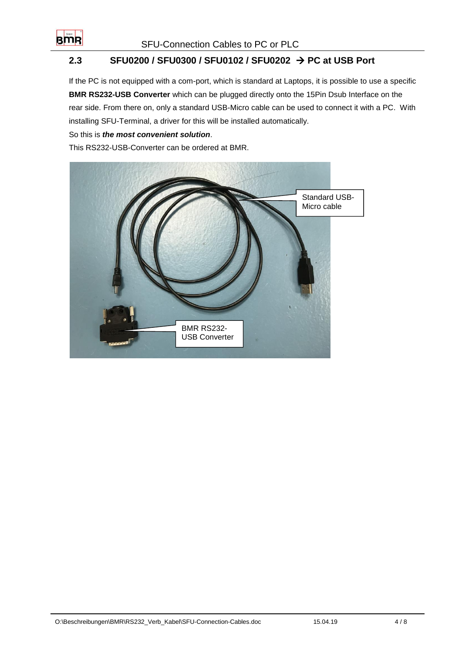

## **2.3 SFU0200 / SFU0300 / SFU0102 / SFU0202** → **PC at USB Port**

If the PC is not equipped with a com-port, which is standard at Laptops, it is possible to use a specific **BMR RS232-USB Converter** which can be plugged directly onto the 15Pin Dsub Interface on the rear side. From there on, only a standard USB-Micro cable can be used to connect it with a PC. With installing SFU-Terminal, a driver for this will be installed automatically.

So this is *the most convenient solution*.

This RS232-USB-Converter can be ordered at BMR.

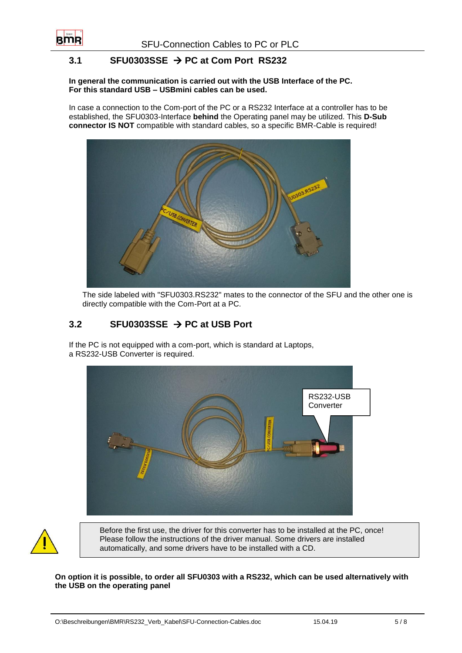

## **3.1 SFU0303SSE** → **PC at Com Port RS232**

#### **In general the communication is carried out with the USB Interface of the PC. For this standard USB – USBmini cables can be used.**

In case a connection to the Com-port of the PC or a RS232 Interface at a controller has to be established, the SFU0303-Interface **behind** the Operating panel may be utilized. This **D-Sub connector IS NOT** compatible with standard cables, so a specific BMR-Cable is required!



The side labeled with "SFU0303.RS232" mates to the connector of the SFU and the other one is directly compatible with the Com-Port at a PC.

## **3.2 SFU0303SSE** → **PC at USB Port**

If the PC is not equipped with a com-port, which is standard at Laptops, a RS232-USB Converter is required.





Before the first use, the driver for this converter has to be installed at the PC, once! Please follow the instructions of the driver manual. Some drivers are installed automatically, and some drivers have to be installed with a CD.

**On option it is possible, to order all SFU0303 with a RS232, which can be used alternatively with the USB on the operating panel**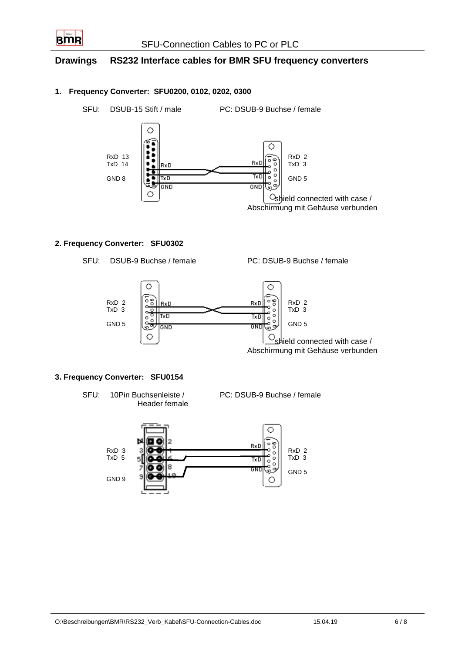

## **Drawings RS232 Interface cables for BMR SFU frequency converters**

#### **1. Frequency Converter: SFU0200, 0102, 0202, 0300**



### **2. Frequency Converter: SFU0302**





#### **3. Frequency Converter: SFU0154**



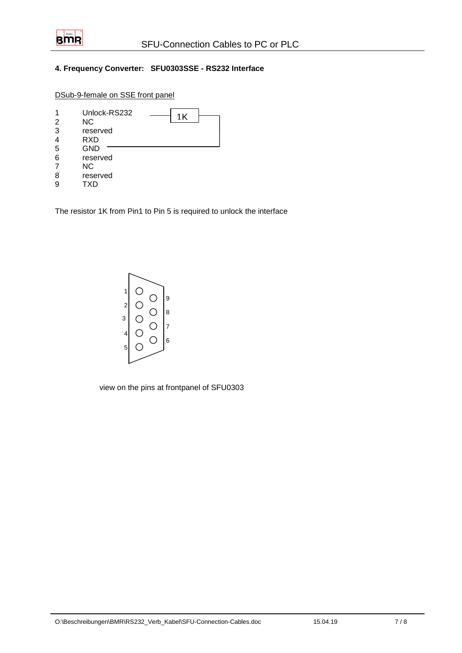

## **4. Frequency Converter: SFU0303SSE - RS232 Interface**

|                | Unlock-RS232 | 1K |
|----------------|--------------|----|
| 2              | ΝC           |    |
| $\overline{3}$ | reserved     |    |
| 4              | <b>RXD</b>   |    |
| 5              | <b>GND</b>   |    |
| 6              | reserved     |    |
|                | ΝC           |    |
| 8              | reserved     |    |
| 9              |              |    |

DSub-9-female on SSE front panel

The resistor 1K from Pin1 to Pin 5 is required to unlock the interface



view on the pins at frontpanel of SFU0303